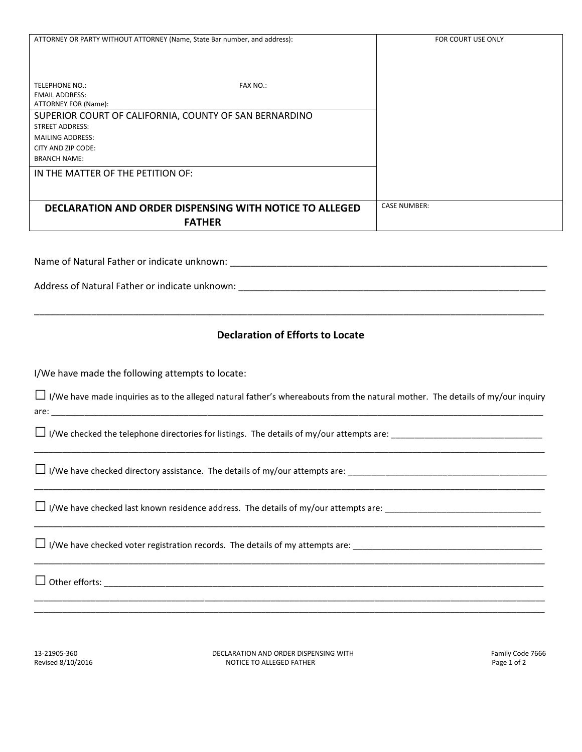| ATTORNEY OR PARTY WITHOUT ATTORNEY (Name, State Bar number, and address): | FOR COURT USE ONLY  |
|---------------------------------------------------------------------------|---------------------|
|                                                                           |                     |
|                                                                           |                     |
|                                                                           |                     |
|                                                                           |                     |
| <b>TELEPHONE NO.:</b><br><b>FAX NO.:</b>                                  |                     |
| <b>EMAIL ADDRESS:</b>                                                     |                     |
| ATTORNEY FOR (Name):                                                      |                     |
| SUPERIOR COURT OF CALIFORNIA, COUNTY OF SAN BERNARDINO                    |                     |
| <b>STREET ADDRESS:</b>                                                    |                     |
| <b>MAILING ADDRESS:</b>                                                   |                     |
| CITY AND ZIP CODE:                                                        |                     |
| <b>BRANCH NAME:</b>                                                       |                     |
| IN THE MATTER OF THE PETITION OF:                                         |                     |
|                                                                           |                     |
|                                                                           |                     |
| <b>DECLARATION AND ORDER DISPENSING WITH NOTICE TO ALLEGED</b>            | <b>CASE NUMBER:</b> |
|                                                                           |                     |
| <b>FATHER</b>                                                             |                     |
|                                                                           |                     |
|                                                                           |                     |
|                                                                           |                     |
|                                                                           |                     |
|                                                                           |                     |
|                                                                           |                     |
|                                                                           |                     |
|                                                                           |                     |
|                                                                           |                     |
| <b>Declaration of Efforts to Locate</b>                                   |                     |
|                                                                           |                     |
|                                                                           |                     |
| I/We have made the following attempts to locate:                          |                     |
|                                                                           |                     |

□I/We have made inquiries as to the alleged natural father's whereabouts from the natural mother. The details of my/our inquiry are:  $\frac{1}{2}$  are:  $\frac{1}{2}$  are:  $\frac{1}{2}$  are:  $\frac{1}{2}$  are:  $\frac{1}{2}$  are:  $\frac{1}{2}$  are:  $\frac{1}{2}$  are:  $\frac{1}{2}$  are:  $\frac{1}{2}$  are:  $\frac{1}{2}$  are:  $\frac{1}{2}$  are:  $\frac{1}{2}$  are:  $\frac{1}{2}$  are:  $\frac{1}{2}$  are:  $\frac{1}{$ 

\_\_\_\_\_\_\_\_\_\_\_\_\_\_\_\_\_\_\_\_\_\_\_\_\_\_\_\_\_\_\_\_\_\_\_\_\_\_\_\_\_\_\_\_\_\_\_\_\_\_\_\_\_\_\_\_\_\_\_\_\_\_\_\_\_\_\_\_\_\_\_\_\_\_\_\_\_\_\_\_\_\_\_\_\_\_\_\_\_\_\_\_\_\_\_\_\_\_\_\_\_\_\_\_\_\_\_\_

\_\_\_\_\_\_\_\_\_\_\_\_\_\_\_\_\_\_\_\_\_\_\_\_\_\_\_\_\_\_\_\_\_\_\_\_\_\_\_\_\_\_\_\_\_\_\_\_\_\_\_\_\_\_\_\_\_\_\_\_\_\_\_\_\_\_\_\_\_\_\_\_\_\_\_\_\_\_\_\_\_\_\_\_\_\_\_\_\_\_\_\_\_\_\_\_\_\_\_\_\_\_\_\_\_\_\_\_

\_\_\_\_\_\_\_\_\_\_\_\_\_\_\_\_\_\_\_\_\_\_\_\_\_\_\_\_\_\_\_\_\_\_\_\_\_\_\_\_\_\_\_\_\_\_\_\_\_\_\_\_\_\_\_\_\_\_\_\_\_\_\_\_\_\_\_\_\_\_\_\_\_\_\_\_\_\_\_\_\_\_\_\_\_\_\_\_\_\_\_\_\_\_\_\_\_\_\_\_\_\_\_\_\_\_\_\_

\_\_\_\_\_\_\_\_\_\_\_\_\_\_\_\_\_\_\_\_\_\_\_\_\_\_\_\_\_\_\_\_\_\_\_\_\_\_\_\_\_\_\_\_\_\_\_\_\_\_\_\_\_\_\_\_\_\_\_\_\_\_\_\_\_\_\_\_\_\_\_\_\_\_\_\_\_\_\_\_\_\_\_\_\_\_\_\_\_\_\_\_\_\_\_\_\_\_\_\_\_\_\_\_\_\_\_\_

\_\_\_\_\_\_\_\_\_\_\_\_\_\_\_\_\_\_\_\_\_\_\_\_\_\_\_\_\_\_\_\_\_\_\_\_\_\_\_\_\_\_\_\_\_\_\_\_\_\_\_\_\_\_\_\_\_\_\_\_\_\_\_\_\_\_\_\_\_\_\_\_\_\_\_\_\_\_\_\_\_\_\_\_\_\_\_\_\_\_\_\_\_\_\_\_\_\_\_\_\_\_\_\_\_\_\_\_ \_\_\_\_\_\_\_\_\_\_\_\_\_\_\_\_\_\_\_\_\_\_\_\_\_\_\_\_\_\_\_\_\_\_\_\_\_\_\_\_\_\_\_\_\_\_\_\_\_\_\_\_\_\_\_\_\_\_\_\_\_\_\_\_\_\_\_\_\_\_\_\_\_\_\_\_\_\_\_\_\_\_\_\_\_\_\_\_\_\_\_\_\_\_\_\_\_\_\_\_\_\_\_\_\_\_\_\_

□ I/We checked the telephone directories for listings. The details of my/our attempts are: \_\_\_\_\_\_\_\_\_\_\_\_\_\_\_\_\_\_\_\_\_\_\_\_\_\_\_\_\_\_\_\_

□ I/We have checked directory assistance. The details of my/our attempts are: \_\_\_\_\_\_\_\_\_\_\_\_\_\_\_\_\_\_\_\_\_\_\_\_\_\_\_\_\_\_\_\_\_\_\_\_\_\_\_\_\_\_

□ I/We have checked last known residence address. The details of my/our attempts are: \_\_\_\_\_\_\_\_\_\_\_\_\_\_\_\_\_\_\_\_\_\_\_\_\_\_\_\_\_\_\_\_\_

□ I/We have checked voter registration records. The details of my attempts are: \_\_\_\_\_\_\_\_\_\_\_\_\_\_\_\_\_\_\_\_\_\_\_\_\_\_\_\_\_\_\_\_\_\_\_\_\_\_\_\_

□ Other efforts: \_\_\_\_\_\_\_\_\_\_\_\_\_\_\_\_\_\_\_\_\_\_\_\_\_\_\_\_\_\_\_\_\_\_\_\_\_\_\_\_\_\_\_\_\_\_\_\_\_\_\_\_\_\_\_\_\_\_\_\_\_\_\_\_\_\_\_\_\_\_\_\_\_\_\_\_\_\_\_\_\_\_\_\_\_\_\_\_\_\_\_\_\_

13-21905-360 **DECLARATION AND ORDER DISPENSING WITH Sanct State 19th Code 7666** Pamily Code 7666 **DECLARATION AND ORDER DISPENSING WITH Earning Code 7666** Page 1 of 2 NOTICE TO ALLEGED FATHER